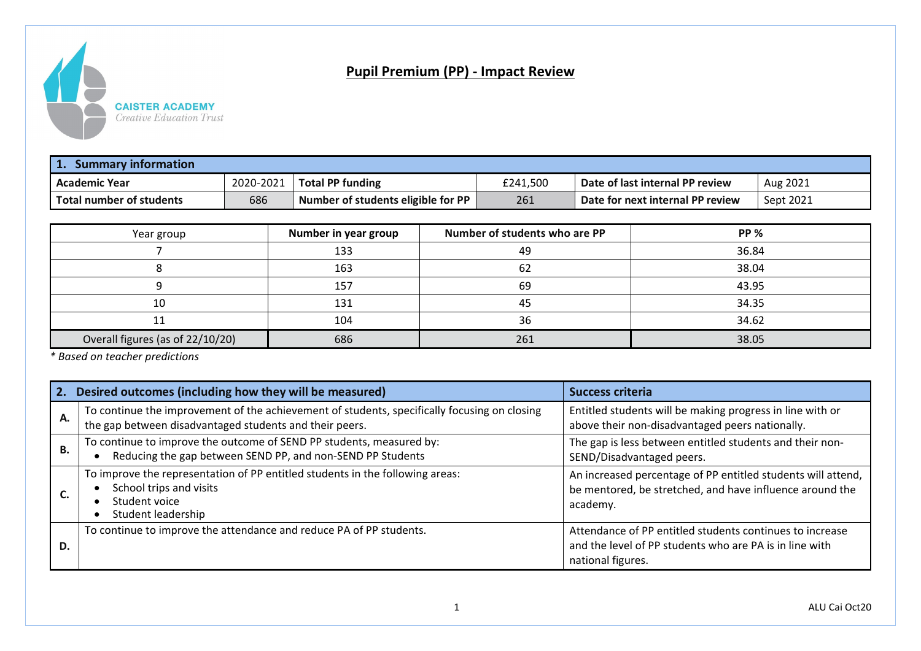

## **Pupil Premium (PP) - Impact Review**

| 1.<br><b>Summary information</b> |           |                                                |          |                                  |           |  |
|----------------------------------|-----------|------------------------------------------------|----------|----------------------------------|-----------|--|
| <b>LAcademic Year</b>            | 2020-2021 | <b>Total PP funding</b>                        | £241.500 | Date of last internal PP review  | Aug 2021  |  |
| <b>Total number of students</b>  | 686       | Number of students eligible for $PP \parallel$ | 261      | Date for next internal PP review | Sept 2021 |  |

| Year group                       | Number in year group | Number of students who are PP | <b>PP %</b> |
|----------------------------------|----------------------|-------------------------------|-------------|
|                                  | 133                  | 49                            | 36.84       |
|                                  | 163                  | -62                           | 38.04       |
|                                  | 157                  | 69                            | 43.95       |
| 10                               | 131                  | 45                            | 34.35       |
|                                  | 104                  | 36                            | 34.62       |
| Overall figures (as of 22/10/20) | 686                  | 261                           | 38.05       |

*\* Based on teacher predictions*

| 2.        | Desired outcomes (including how they will be measured)                                                                                                  | <b>Success criteria</b>                                                                                                                  |
|-----------|---------------------------------------------------------------------------------------------------------------------------------------------------------|------------------------------------------------------------------------------------------------------------------------------------------|
| Α.        | To continue the improvement of the achievement of students, specifically focusing on closing<br>the gap between disadvantaged students and their peers. | Entitled students will be making progress in line with or<br>above their non-disadvantaged peers nationally.                             |
| <b>B.</b> | To continue to improve the outcome of SEND PP students, measured by:<br>Reducing the gap between SEND PP, and non-SEND PP Students                      | The gap is less between entitled students and their non-<br>SEND/Disadvantaged peers.                                                    |
|           | To improve the representation of PP entitled students in the following areas:<br>School trips and visits<br>Student voice<br>Student leadership         | An increased percentage of PP entitled students will attend,<br>be mentored, be stretched, and have influence around the<br>academy.     |
| D.        | To continue to improve the attendance and reduce PA of PP students.                                                                                     | Attendance of PP entitled students continues to increase<br>and the level of PP students who are PA is in line with<br>national figures. |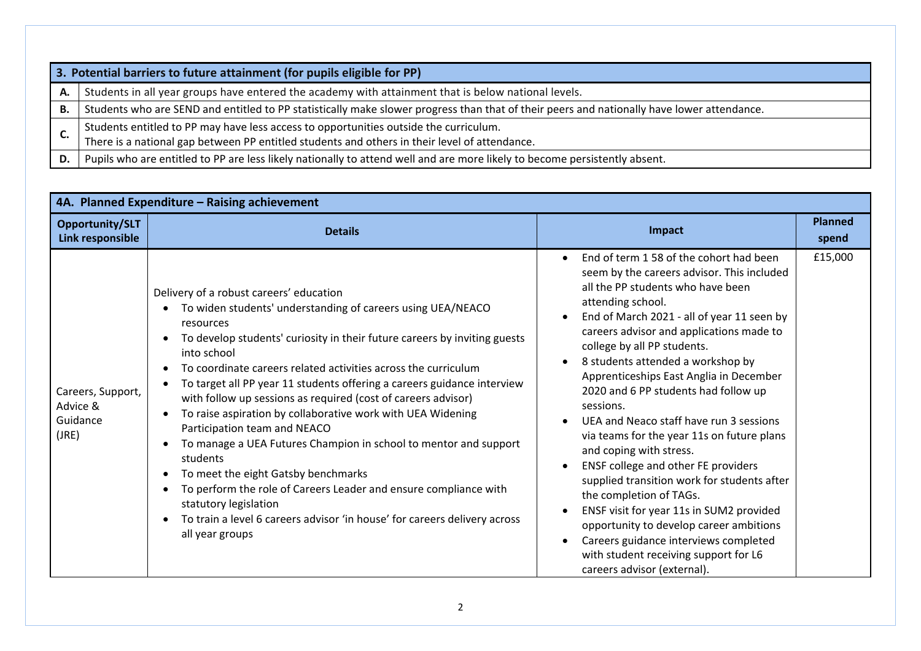|    | 3. Potential barriers to future attainment (for pupils eligible for PP)                                                                    |
|----|--------------------------------------------------------------------------------------------------------------------------------------------|
| А. | Students in all year groups have entered the academy with attainment that is below national levels.                                        |
| Β. | Students who are SEND and entitled to PP statistically make slower progress than that of their peers and nationally have lower attendance. |
|    | Students entitled to PP may have less access to opportunities outside the curriculum.                                                      |
| J. | There is a national gap between PP entitled students and others in their level of attendance.                                              |
| D. | Pupils who are entitled to PP are less likely nationally to attend well and are more likely to become persistently absent.                 |

| 4A. Planned Expenditure - Raising achievement      |                                                                                                                                                                                                                                                                                                                                                                                                                                                                                                                                                                                                                                                                                                                                                                                                                                                  |                                                                                                                                                                                                                                                                                                                                                                                                                                                                                                                                                                                                                                                                                                                                                                                                                                                                        |                         |  |  |
|----------------------------------------------------|--------------------------------------------------------------------------------------------------------------------------------------------------------------------------------------------------------------------------------------------------------------------------------------------------------------------------------------------------------------------------------------------------------------------------------------------------------------------------------------------------------------------------------------------------------------------------------------------------------------------------------------------------------------------------------------------------------------------------------------------------------------------------------------------------------------------------------------------------|------------------------------------------------------------------------------------------------------------------------------------------------------------------------------------------------------------------------------------------------------------------------------------------------------------------------------------------------------------------------------------------------------------------------------------------------------------------------------------------------------------------------------------------------------------------------------------------------------------------------------------------------------------------------------------------------------------------------------------------------------------------------------------------------------------------------------------------------------------------------|-------------------------|--|--|
| Opportunity/SLT<br>Link responsible                | <b>Details</b>                                                                                                                                                                                                                                                                                                                                                                                                                                                                                                                                                                                                                                                                                                                                                                                                                                   | Impact                                                                                                                                                                                                                                                                                                                                                                                                                                                                                                                                                                                                                                                                                                                                                                                                                                                                 | <b>Planned</b><br>spend |  |  |
| Careers, Support,<br>Advice &<br>Guidance<br>(JRE) | Delivery of a robust careers' education<br>To widen students' understanding of careers using UEA/NEACO<br>resources<br>To develop students' curiosity in their future careers by inviting guests<br>into school<br>To coordinate careers related activities across the curriculum<br>To target all PP year 11 students offering a careers guidance interview<br>with follow up sessions as required (cost of careers advisor)<br>To raise aspiration by collaborative work with UEA Widening<br>Participation team and NEACO<br>To manage a UEA Futures Champion in school to mentor and support<br>students<br>To meet the eight Gatsby benchmarks<br>To perform the role of Careers Leader and ensure compliance with<br>statutory legislation<br>To train a level 6 careers advisor 'in house' for careers delivery across<br>all year groups | End of term 158 of the cohort had been<br>$\bullet$<br>seem by the careers advisor. This included<br>all the PP students who have been<br>attending school.<br>End of March 2021 - all of year 11 seen by<br>careers advisor and applications made to<br>college by all PP students.<br>8 students attended a workshop by<br>Apprenticeships East Anglia in December<br>2020 and 6 PP students had follow up<br>sessions.<br>UEA and Neaco staff have run 3 sessions<br>via teams for the year 11s on future plans<br>and coping with stress.<br>ENSF college and other FE providers<br>supplied transition work for students after<br>the completion of TAGs.<br>ENSF visit for year 11s in SUM2 provided<br>opportunity to develop career ambitions<br>Careers guidance interviews completed<br>with student receiving support for L6<br>careers advisor (external). | £15,000                 |  |  |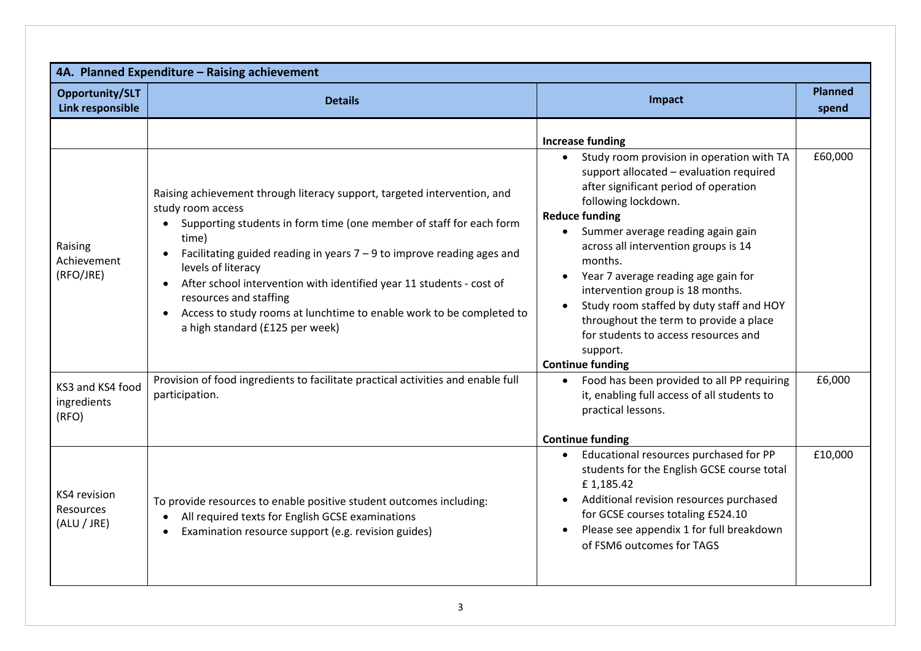| Opportunity/SLT<br>Link responsible             | <b>Details</b>                                                                                                                                                                                                                                                                                                                                                                                                                                                                                                         | Impact                                                                                                                                                                                                                                                                                                                                                                                                                                                                                                                             | <b>Planned</b><br>spend |
|-------------------------------------------------|------------------------------------------------------------------------------------------------------------------------------------------------------------------------------------------------------------------------------------------------------------------------------------------------------------------------------------------------------------------------------------------------------------------------------------------------------------------------------------------------------------------------|------------------------------------------------------------------------------------------------------------------------------------------------------------------------------------------------------------------------------------------------------------------------------------------------------------------------------------------------------------------------------------------------------------------------------------------------------------------------------------------------------------------------------------|-------------------------|
|                                                 |                                                                                                                                                                                                                                                                                                                                                                                                                                                                                                                        | <b>Increase funding</b>                                                                                                                                                                                                                                                                                                                                                                                                                                                                                                            |                         |
| Raising<br>Achievement<br>(RFO/JRE)             | Raising achievement through literacy support, targeted intervention, and<br>study room access<br>Supporting students in form time (one member of staff for each form<br>time)<br>Facilitating guided reading in years $7 - 9$ to improve reading ages and<br>$\bullet$<br>levels of literacy<br>After school intervention with identified year 11 students - cost of<br>resources and staffing<br>Access to study rooms at lunchtime to enable work to be completed to<br>$\bullet$<br>a high standard (£125 per week) | Study room provision in operation with TA<br>$\bullet$<br>support allocated - evaluation required<br>after significant period of operation<br>following lockdown.<br><b>Reduce funding</b><br>Summer average reading again gain<br>across all intervention groups is 14<br>months.<br>Year 7 average reading age gain for<br>intervention group is 18 months.<br>Study room staffed by duty staff and HOY<br>throughout the term to provide a place<br>for students to access resources and<br>support.<br><b>Continue funding</b> | £60,000                 |
| KS3 and KS4 food<br>ingredients<br>(RFO)        | Provision of food ingredients to facilitate practical activities and enable full<br>participation.                                                                                                                                                                                                                                                                                                                                                                                                                     | Food has been provided to all PP requiring<br>$\bullet$<br>it, enabling full access of all students to<br>practical lessons.                                                                                                                                                                                                                                                                                                                                                                                                       | £6,000                  |
| KS4 revision<br><b>Resources</b><br>(ALU / JRE) | To provide resources to enable positive student outcomes including:<br>All required texts for English GCSE examinations<br>Examination resource support (e.g. revision guides)                                                                                                                                                                                                                                                                                                                                         | <b>Continue funding</b><br>Educational resources purchased for PP<br>students for the English GCSE course total<br>£1,185.42<br>Additional revision resources purchased<br>$\bullet$<br>for GCSE courses totaling £524.10<br>Please see appendix 1 for full breakdown<br>of FSM6 outcomes for TAGS                                                                                                                                                                                                                                 | £10,000                 |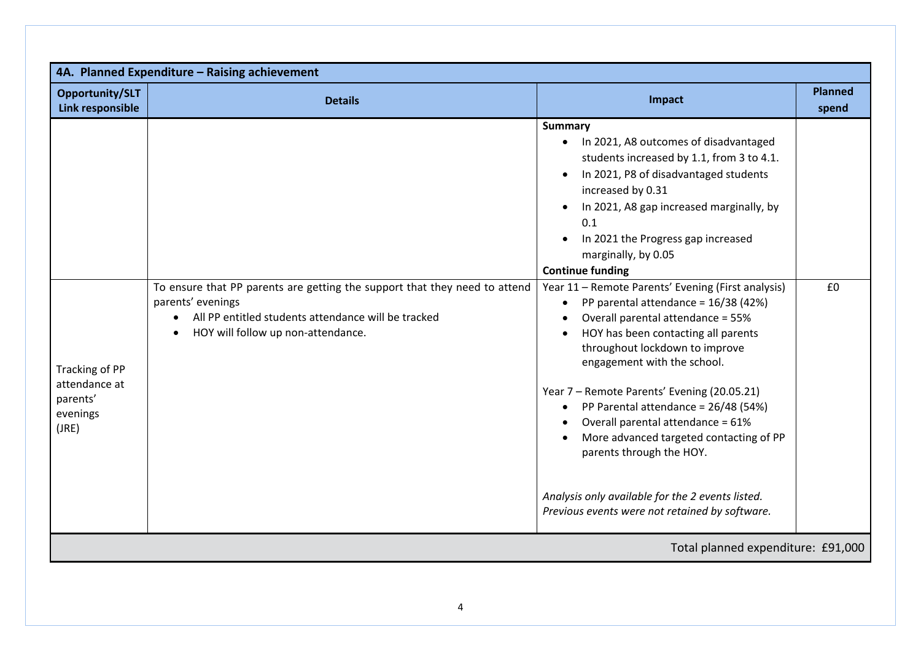| Opportunity/SLT<br>Link responsible                              | <b>Details</b>                                                                                                                                                                               | Impact                                                                                                                                                                                                                                                                                                                                                                                                                                                                                                                                                                                                                                                                                            | <b>Planned</b><br>spend |
|------------------------------------------------------------------|----------------------------------------------------------------------------------------------------------------------------------------------------------------------------------------------|---------------------------------------------------------------------------------------------------------------------------------------------------------------------------------------------------------------------------------------------------------------------------------------------------------------------------------------------------------------------------------------------------------------------------------------------------------------------------------------------------------------------------------------------------------------------------------------------------------------------------------------------------------------------------------------------------|-------------------------|
| Tracking of PP<br>attendance at<br>parents'<br>evenings<br>(JRE) | To ensure that PP parents are getting the support that they need to attend<br>parents' evenings<br>All PP entitled students attendance will be tracked<br>HOY will follow up non-attendance. | <b>Summary</b><br>In 2021, A8 outcomes of disadvantaged<br>$\bullet$<br>students increased by 1.1, from 3 to 4.1.<br>In 2021, P8 of disadvantaged students<br>increased by 0.31<br>In 2021, A8 gap increased marginally, by<br>0.1<br>In 2021 the Progress gap increased<br>marginally, by 0.05<br><b>Continue funding</b><br>Year 11 - Remote Parents' Evening (First analysis)<br>PP parental attendance = 16/38 (42%)<br>Overall parental attendance = 55%<br>HOY has been contacting all parents<br>throughout lockdown to improve<br>engagement with the school.<br>Year 7 - Remote Parents' Evening (20.05.21)<br>PP Parental attendance = 26/48 (54%)<br>Overall parental attendance = 61% | £0                      |
|                                                                  |                                                                                                                                                                                              | More advanced targeted contacting of PP<br>parents through the HOY.<br>Analysis only available for the 2 events listed.<br>Previous events were not retained by software.                                                                                                                                                                                                                                                                                                                                                                                                                                                                                                                         |                         |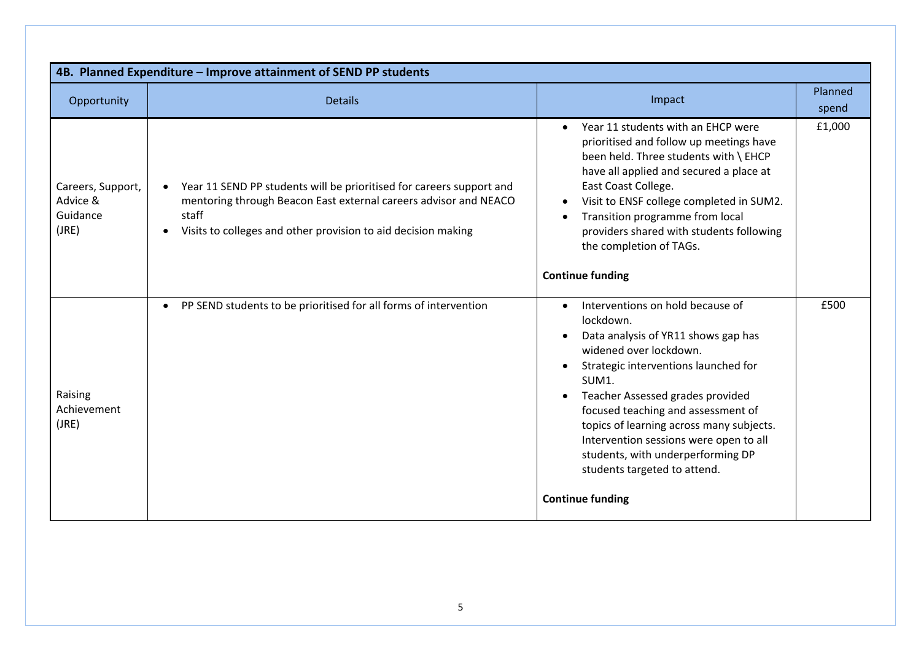| 4B. Planned Expenditure - Improve attainment of SEND PP students |                                                                                                                                                                                                                                 |                                                                                                                                                                                                                                                                                                                                                                                                                                              |                  |  |  |
|------------------------------------------------------------------|---------------------------------------------------------------------------------------------------------------------------------------------------------------------------------------------------------------------------------|----------------------------------------------------------------------------------------------------------------------------------------------------------------------------------------------------------------------------------------------------------------------------------------------------------------------------------------------------------------------------------------------------------------------------------------------|------------------|--|--|
| Opportunity                                                      | <b>Details</b>                                                                                                                                                                                                                  | Impact                                                                                                                                                                                                                                                                                                                                                                                                                                       | Planned<br>spend |  |  |
| Careers, Support,<br>Advice &<br>Guidance<br>(JRE)               | Year 11 SEND PP students will be prioritised for careers support and<br>mentoring through Beacon East external careers advisor and NEACO<br>staff<br>Visits to colleges and other provision to aid decision making<br>$\bullet$ | Year 11 students with an EHCP were<br>prioritised and follow up meetings have<br>been held. Three students with \ EHCP<br>have all applied and secured a place at<br>East Coast College.<br>Visit to ENSF college completed in SUM2.<br>Transition programme from local<br>providers shared with students following<br>the completion of TAGs.<br><b>Continue funding</b>                                                                    | £1,000           |  |  |
| Raising<br>Achievement<br>(JRE)                                  | PP SEND students to be prioritised for all forms of intervention                                                                                                                                                                | Interventions on hold because of<br>$\bullet$<br>lockdown.<br>Data analysis of YR11 shows gap has<br>widened over lockdown.<br>Strategic interventions launched for<br>SUM1.<br>Teacher Assessed grades provided<br>focused teaching and assessment of<br>topics of learning across many subjects.<br>Intervention sessions were open to all<br>students, with underperforming DP<br>students targeted to attend.<br><b>Continue funding</b> | £500             |  |  |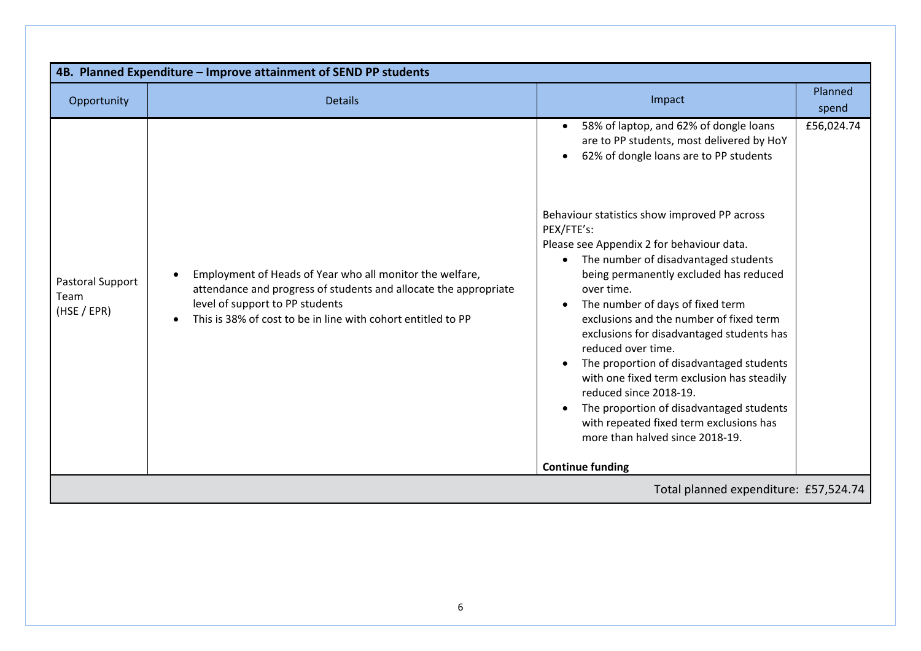| 4B. Planned Expenditure - Improve attainment of SEND PP students |                                                                                                                                                                                                                                              |                                                                                                                                                                                                                                                                                                                                                                                                                                                                                                                                                                                                         |                  |  |  |
|------------------------------------------------------------------|----------------------------------------------------------------------------------------------------------------------------------------------------------------------------------------------------------------------------------------------|---------------------------------------------------------------------------------------------------------------------------------------------------------------------------------------------------------------------------------------------------------------------------------------------------------------------------------------------------------------------------------------------------------------------------------------------------------------------------------------------------------------------------------------------------------------------------------------------------------|------------------|--|--|
| Opportunity                                                      | <b>Details</b>                                                                                                                                                                                                                               | Impact                                                                                                                                                                                                                                                                                                                                                                                                                                                                                                                                                                                                  | Planned<br>spend |  |  |
|                                                                  |                                                                                                                                                                                                                                              | 58% of laptop, and 62% of dongle loans<br>are to PP students, most delivered by HoY<br>62% of dongle loans are to PP students                                                                                                                                                                                                                                                                                                                                                                                                                                                                           | £56,024.74       |  |  |
| Pastoral Support<br>Team<br>(HSE / EPR)                          | Employment of Heads of Year who all monitor the welfare,<br>$\bullet$<br>attendance and progress of students and allocate the appropriate<br>level of support to PP students<br>This is 38% of cost to be in line with cohort entitled to PP | Behaviour statistics show improved PP across<br>PEX/FTE's:<br>Please see Appendix 2 for behaviour data.<br>The number of disadvantaged students<br>being permanently excluded has reduced<br>over time.<br>The number of days of fixed term<br>exclusions and the number of fixed term<br>exclusions for disadvantaged students has<br>reduced over time.<br>The proportion of disadvantaged students<br>with one fixed term exclusion has steadily<br>reduced since 2018-19.<br>The proportion of disadvantaged students<br>with repeated fixed term exclusions has<br>more than halved since 2018-19. |                  |  |  |
|                                                                  |                                                                                                                                                                                                                                              | <b>Continue funding</b>                                                                                                                                                                                                                                                                                                                                                                                                                                                                                                                                                                                 |                  |  |  |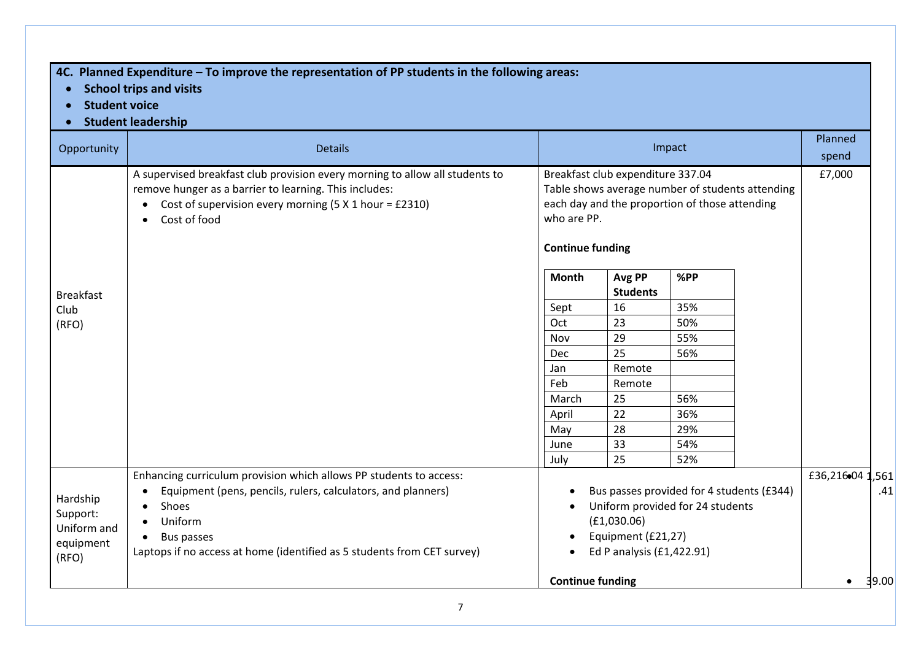## **4C. Planned Expenditure – To improve the representation of PP students in the following areas:**

- **School trips and visits**
- **Student voice**
- **Student leadership**

| Opportunity      | <b>Details</b>                                                                                                                                                                                                     |                         | Impact                                                                                                                                                                            |     |                          |
|------------------|--------------------------------------------------------------------------------------------------------------------------------------------------------------------------------------------------------------------|-------------------------|-----------------------------------------------------------------------------------------------------------------------------------------------------------------------------------|-----|--------------------------|
|                  | A supervised breakfast club provision every morning to allow all students to<br>remove hunger as a barrier to learning. This includes:<br>Cost of supervision every morning $(5 X 1 hour = £2310)$<br>Cost of food |                         | Breakfast club expenditure 337.04<br>Table shows average number of students attending<br>each day and the proportion of those attending<br>who are PP.<br><b>Continue funding</b> |     |                          |
| <b>Breakfast</b> |                                                                                                                                                                                                                    | <b>Month</b>            | Avg PP<br><b>Students</b>                                                                                                                                                         | %PP |                          |
| Club             |                                                                                                                                                                                                                    | Sept                    | 16                                                                                                                                                                                | 35% |                          |
| (RFO)            |                                                                                                                                                                                                                    | Oct                     | 23                                                                                                                                                                                | 50% |                          |
|                  |                                                                                                                                                                                                                    | Nov                     | 29                                                                                                                                                                                | 55% |                          |
|                  |                                                                                                                                                                                                                    | <b>Dec</b>              | 25                                                                                                                                                                                | 56% |                          |
|                  |                                                                                                                                                                                                                    | Jan                     | Remote                                                                                                                                                                            |     |                          |
|                  |                                                                                                                                                                                                                    | Feb                     | Remote                                                                                                                                                                            |     |                          |
|                  |                                                                                                                                                                                                                    | March                   | 25                                                                                                                                                                                | 56% |                          |
|                  |                                                                                                                                                                                                                    | April                   | 22                                                                                                                                                                                | 36% |                          |
|                  |                                                                                                                                                                                                                    | May                     | 28                                                                                                                                                                                | 29% |                          |
|                  |                                                                                                                                                                                                                    | June                    | 33                                                                                                                                                                                | 54% |                          |
|                  |                                                                                                                                                                                                                    | July                    | 25                                                                                                                                                                                | 52% |                          |
| Hardship         | Enhancing curriculum provision which allows PP students to access:<br>Equipment (pens, pencils, rulers, calculators, and planners)                                                                                 |                         | Bus passes provided for 4 students (£344)                                                                                                                                         |     | £36,21604<br>,561<br>.41 |
| Support:         | Shoes                                                                                                                                                                                                              |                         | Uniform provided for 24 students                                                                                                                                                  |     |                          |
| Uniform and      | Uniform                                                                                                                                                                                                            |                         | (E1,030.06)                                                                                                                                                                       |     |                          |
| equipment        | Bus passes                                                                                                                                                                                                         |                         | Equipment (£21,27)                                                                                                                                                                |     |                          |
| (RFO)            | Laptops if no access at home (identified as 5 students from CET survey)                                                                                                                                            |                         | Ed P analysis (£1,422.91)                                                                                                                                                         |     |                          |
|                  |                                                                                                                                                                                                                    | <b>Continue funding</b> |                                                                                                                                                                                   |     | 39.00                    |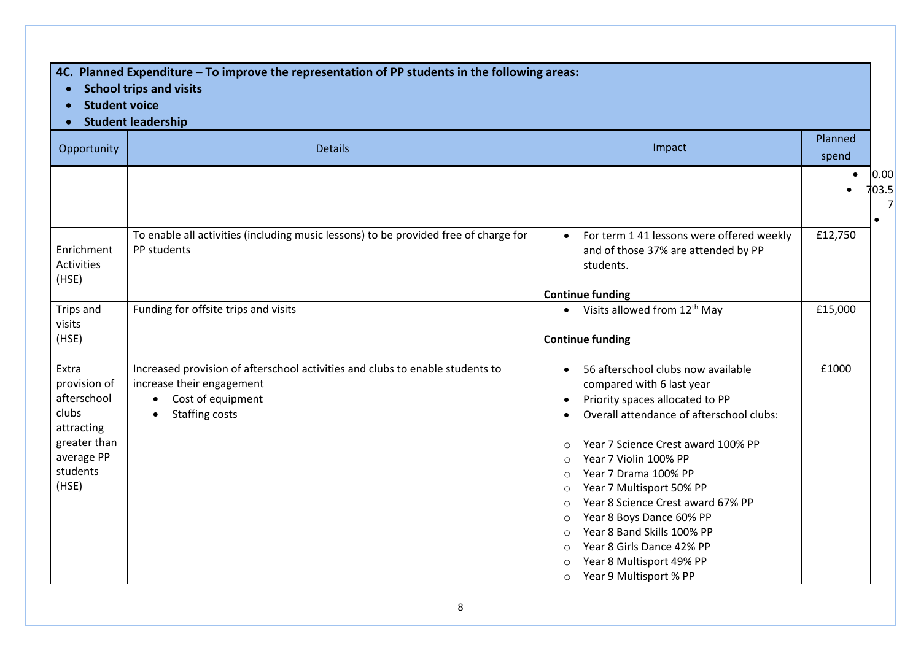## **4C. Planned Expenditure – To improve the representation of PP students in the following areas:**

- **School trips and visits**
- **Student voice**
- **Student leadership**

| Opportunity                                                                                                    | <b>Details</b>                                                                                                                                                                     | Impact                                                                                                                                                                                                                                                                                                                                                                                                                                                              | Planned<br>spend                        |
|----------------------------------------------------------------------------------------------------------------|------------------------------------------------------------------------------------------------------------------------------------------------------------------------------------|---------------------------------------------------------------------------------------------------------------------------------------------------------------------------------------------------------------------------------------------------------------------------------------------------------------------------------------------------------------------------------------------------------------------------------------------------------------------|-----------------------------------------|
|                                                                                                                |                                                                                                                                                                                    |                                                                                                                                                                                                                                                                                                                                                                                                                                                                     | 0.00<br>$\bullet$<br>703.5<br>$\bullet$ |
| Enrichment<br><b>Activities</b><br>(HSE)                                                                       | To enable all activities (including music lessons) to be provided free of charge for<br>PP students                                                                                | For term 1 41 lessons were offered weekly<br>$\bullet$<br>and of those 37% are attended by PP<br>students.                                                                                                                                                                                                                                                                                                                                                          | £12,750                                 |
| Trips and<br>visits<br>(HSE)                                                                                   | Funding for offsite trips and visits                                                                                                                                               | <b>Continue funding</b><br>• Visits allowed from $12^{th}$ May<br><b>Continue funding</b>                                                                                                                                                                                                                                                                                                                                                                           | £15,000                                 |
| Extra<br>provision of<br>afterschool<br>clubs<br>attracting<br>greater than<br>average PP<br>students<br>(HSE) | Increased provision of afterschool activities and clubs to enable students to<br>increase their engagement<br>Cost of equipment<br>$\bullet$<br><b>Staffing costs</b><br>$\bullet$ | 56 afterschool clubs now available<br>compared with 6 last year<br>Priority spaces allocated to PP<br>Overall attendance of afterschool clubs:<br>Year 7 Science Crest award 100% PP<br>Year 7 Violin 100% PP<br>Year 7 Drama 100% PP<br>Year 7 Multisport 50% PP<br>Year 8 Science Crest award 67% PP<br>Year 8 Boys Dance 60% PP<br>Ο<br>Year 8 Band Skills 100% PP<br>Year 8 Girls Dance 42% PP<br>Year 8 Multisport 49% PP<br>Year 9 Multisport % PP<br>$\circ$ | £1000                                   |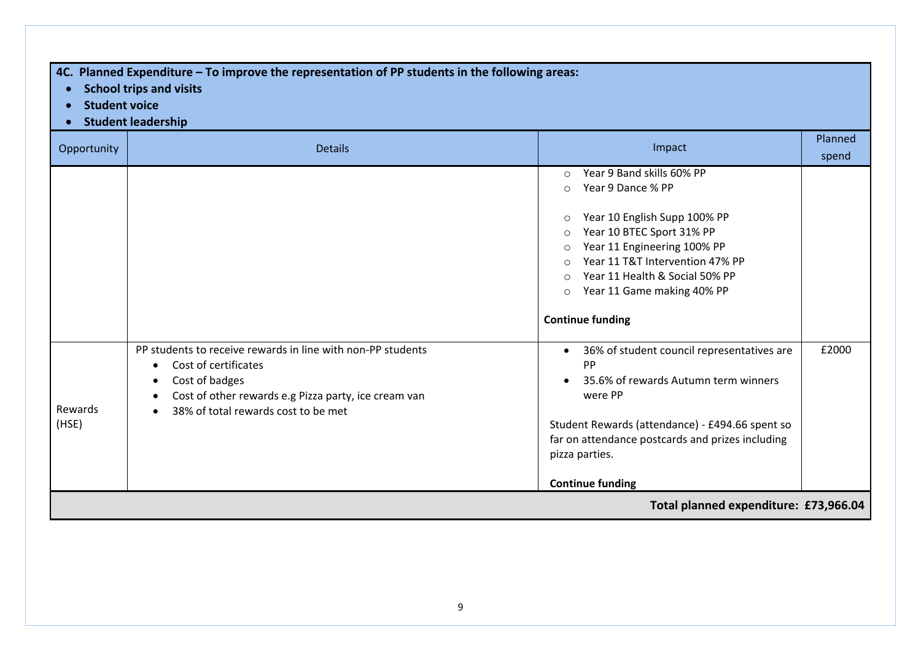**4C. Planned Expenditure – To improve the representation of PP students in the following areas:**

- **School trips and visits**
- **Student voice**
- **Student leadership**

| Opportunity      | <b>Details</b>                                                                                                                                                                                       | Impact                                                                                                                                                                                                                                                                                                                                                             | Planned<br>spend |  |  |
|------------------|------------------------------------------------------------------------------------------------------------------------------------------------------------------------------------------------------|--------------------------------------------------------------------------------------------------------------------------------------------------------------------------------------------------------------------------------------------------------------------------------------------------------------------------------------------------------------------|------------------|--|--|
|                  |                                                                                                                                                                                                      | Year 9 Band skills 60% PP<br>$\circ$<br>Year 9 Dance % PP<br>$\circ$<br>Year 10 English Supp 100% PP<br>$\circ$<br>Year 10 BTEC Sport 31% PP<br>$\circ$<br>Year 11 Engineering 100% PP<br>$\circ$<br>Year 11 T&T Intervention 47% PP<br>$\Omega$<br>Year 11 Health & Social 50% PP<br>$\Omega$<br>Year 11 Game making 40% PP<br>$\circ$<br><b>Continue funding</b> |                  |  |  |
| Rewards<br>(HSE) | PP students to receive rewards in line with non-PP students<br>Cost of certificates<br>Cost of badges<br>Cost of other rewards e.g Pizza party, ice cream van<br>38% of total rewards cost to be met | 36% of student council representatives are<br>$\bullet$<br>PP<br>35.6% of rewards Autumn term winners<br>were PP<br>Student Rewards (attendance) - £494.66 spent so<br>far on attendance postcards and prizes including<br>pizza parties.<br><b>Continue funding</b>                                                                                               | £2000            |  |  |
|                  | Total planned expenditure: £73,966.04                                                                                                                                                                |                                                                                                                                                                                                                                                                                                                                                                    |                  |  |  |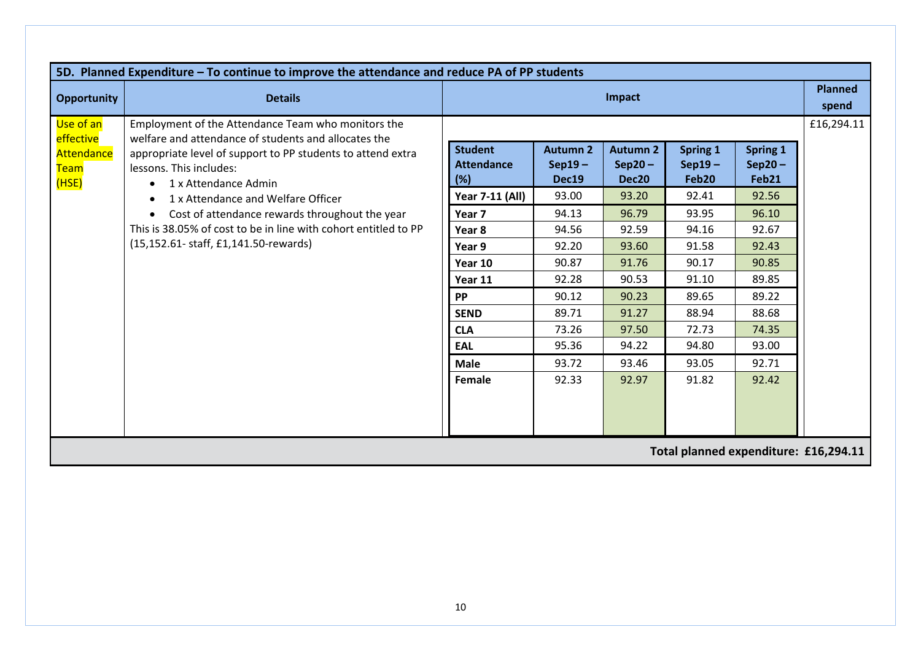| 5D. Planned Expenditure - To continue to improve the attendance and reduce PA of PP students |                                                                                                                                                                                                                                           |                                            |                                      |                                                  |                                      |                               |                         |  |  |
|----------------------------------------------------------------------------------------------|-------------------------------------------------------------------------------------------------------------------------------------------------------------------------------------------------------------------------------------------|--------------------------------------------|--------------------------------------|--------------------------------------------------|--------------------------------------|-------------------------------|-------------------------|--|--|
| <b>Opportunity</b>                                                                           | <b>Details</b>                                                                                                                                                                                                                            | Impact                                     |                                      |                                                  |                                      |                               | <b>Planned</b><br>spend |  |  |
| Use of an<br>effective<br>Attendance<br><b>Team</b><br>(HSE)                                 | Employment of the Attendance Team who monitors the<br>welfare and attendance of students and allocates the<br>appropriate level of support to PP students to attend extra<br>lessons. This includes:<br>1 x Attendance Admin<br>$\bullet$ | <b>Student</b><br><b>Attendance</b><br>(%) | <b>Autumn 2</b><br>$Sep19-$<br>Dec19 | <b>Autumn 2</b><br>$Sep20-$<br>Dec <sub>20</sub> | <b>Spring 1</b><br>$Sep19-$<br>Feb20 | Spring 1<br>$Sep20-$<br>Feb21 | £16,294.11              |  |  |
|                                                                                              | 1 x Attendance and Welfare Officer<br>$\bullet$                                                                                                                                                                                           | <b>Year 7-11 (All)</b>                     | 93.00                                | 93.20                                            | 92.41                                | 92.56                         |                         |  |  |
|                                                                                              | Cost of attendance rewards throughout the year<br>$\bullet$                                                                                                                                                                               | Year 7                                     | 94.13                                | 96.79                                            | 93.95                                | 96.10                         |                         |  |  |
|                                                                                              | This is 38.05% of cost to be in line with cohort entitled to PP                                                                                                                                                                           | Year <sub>8</sub>                          | 94.56                                | 92.59                                            | 94.16                                | 92.67                         |                         |  |  |
|                                                                                              | (15,152.61- staff, £1,141.50-rewards)                                                                                                                                                                                                     | Year 9                                     | 92.20                                | 93.60                                            | 91.58                                | 92.43                         |                         |  |  |
|                                                                                              |                                                                                                                                                                                                                                           | Year 10                                    | 90.87                                | 91.76                                            | 90.17                                | 90.85                         |                         |  |  |
|                                                                                              |                                                                                                                                                                                                                                           | Year 11                                    | 92.28                                | 90.53                                            | 91.10                                | 89.85                         |                         |  |  |
|                                                                                              |                                                                                                                                                                                                                                           | <b>PP</b>                                  | 90.12                                | 90.23                                            | 89.65                                | 89.22                         |                         |  |  |
|                                                                                              |                                                                                                                                                                                                                                           | <b>SEND</b>                                | 89.71                                | 91.27                                            | 88.94                                | 88.68                         |                         |  |  |
|                                                                                              |                                                                                                                                                                                                                                           | <b>CLA</b>                                 | 73.26                                | 97.50                                            | 72.73                                | 74.35                         |                         |  |  |
|                                                                                              |                                                                                                                                                                                                                                           | <b>EAL</b>                                 | 95.36                                | 94.22                                            | 94.80                                | 93.00                         |                         |  |  |
|                                                                                              |                                                                                                                                                                                                                                           | <b>Male</b>                                | 93.72                                | 93.46                                            | 93.05                                | 92.71                         |                         |  |  |
|                                                                                              |                                                                                                                                                                                                                                           | Female                                     | 92.33                                | 92.97                                            | 91.82                                | 92.42                         |                         |  |  |
| Total planned expenditure: £16,294.11                                                        |                                                                                                                                                                                                                                           |                                            |                                      |                                                  |                                      |                               |                         |  |  |